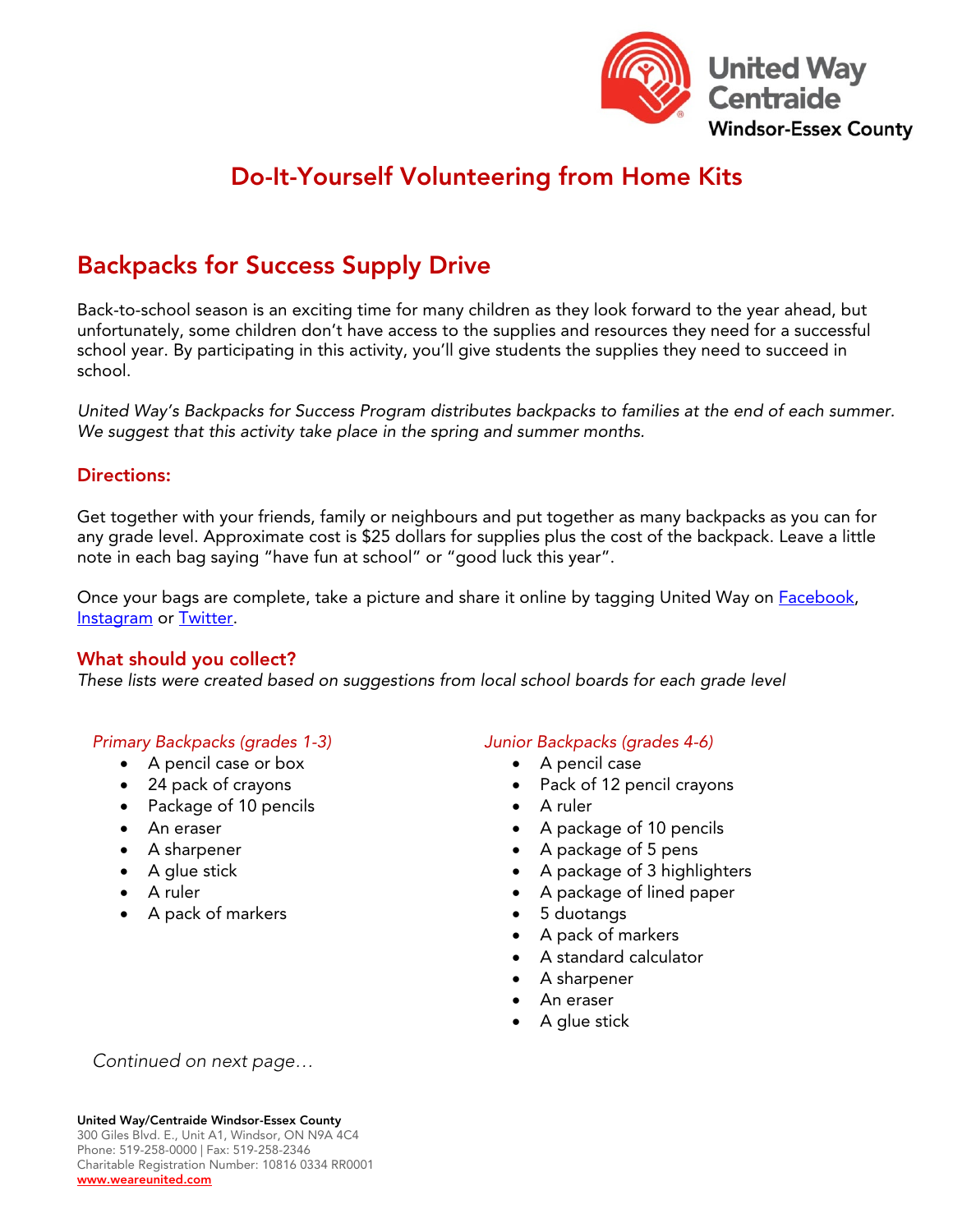

# Do-It-Yourself Volunteering from Home Kits

# Backpacks for Success Supply Drive

Back-to-school season is an exciting time for many children as they look forward to the year ahead, but unfortunately, some children don't have access to the supplies and resources they need for a successful school year. By participating in this activity, you'll give students the supplies they need to succeed in school.

*United Way's Backpacks for Success Program distributes backpacks to families at the end of each summer. We suggest that this activity take place in the spring and summer months.* 

### Directions:

Get together with your friends, family or neighbours and put together as many backpacks as you can for any grade level. Approximate cost is \$25 dollars for supplies plus the cost of the backpack. Leave a little note in each bag saying "have fun at school" or "good luck this year".

Once your bags are complete, take a picture and share it online by tagging United Way on **Facebook**, [Instagram](https://www.instagram.com/unitedwaywe/?hl=en) or [Twitter.](https://twitter.com/UnitedWayWE)

#### What should you collect?

*These lists were created based on suggestions from local school boards for each grade level*

#### *Primary Backpacks (grades 1-3)*

- A pencil case or box
- 24 pack of crayons
- Package of 10 pencils
- An eraser
- A sharpener
- A glue stick
- A ruler
- A pack of markers

#### *Junior Backpacks (grades 4-6)*

- A pencil case
- Pack of 12 pencil crayons
- A ruler
- A package of 10 pencils
- A package of 5 pens
- A package of 3 highlighters
- A package of lined paper
- 5 duotangs
- A pack of markers
- A standard calculator
- A sharpener
- An eraser
- A glue stick

*Continued on next page…*

300 Giles Blvd. E., Unit A1, Windsor, ON N9A 4C4 Phone: 519-258-0000 | Fax: 519-258-2346 Charitable Registration Number: 10816 0334 RR0001 [www.weareunited.com](http://www.weareunited.com/)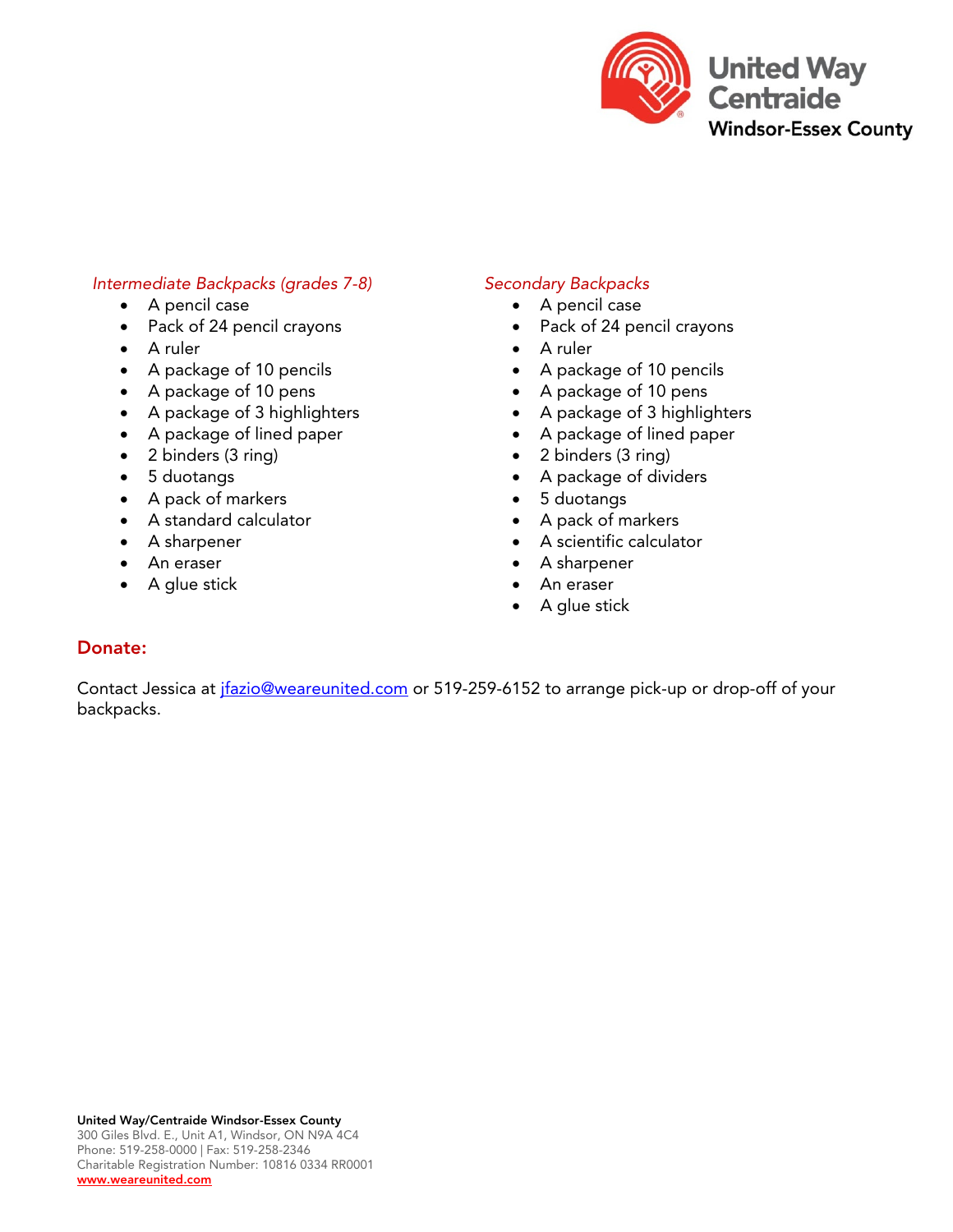

#### *Intermediate Backpacks (grades 7-8)*

- A pencil case
- Pack of 24 pencil crayons
- A ruler
- A package of 10 pencils
- A package of 10 pens
- A package of 3 highlighters
- A package of lined paper
- 2 binders (3 ring)
- 5 duotangs
- A pack of markers
- A standard calculator
- A sharpener
- An eraser
- A glue stick

#### *Secondary Backpacks*

- A pencil case
- Pack of 24 pencil crayons
- A ruler
- A package of 10 pencils
- A package of 10 pens
- A package of 3 highlighters
- A package of lined paper
- 2 binders (3 ring)
- A package of dividers
- 5 duotangs
- A pack of markers
- A scientific calculator
- A sharpener
- An eraser
- A glue stick

#### Donate:

Contact Jessica at *jfazio@weareunited.com* or 519-259-6152 to arrange pick-up or drop-off of your backpacks.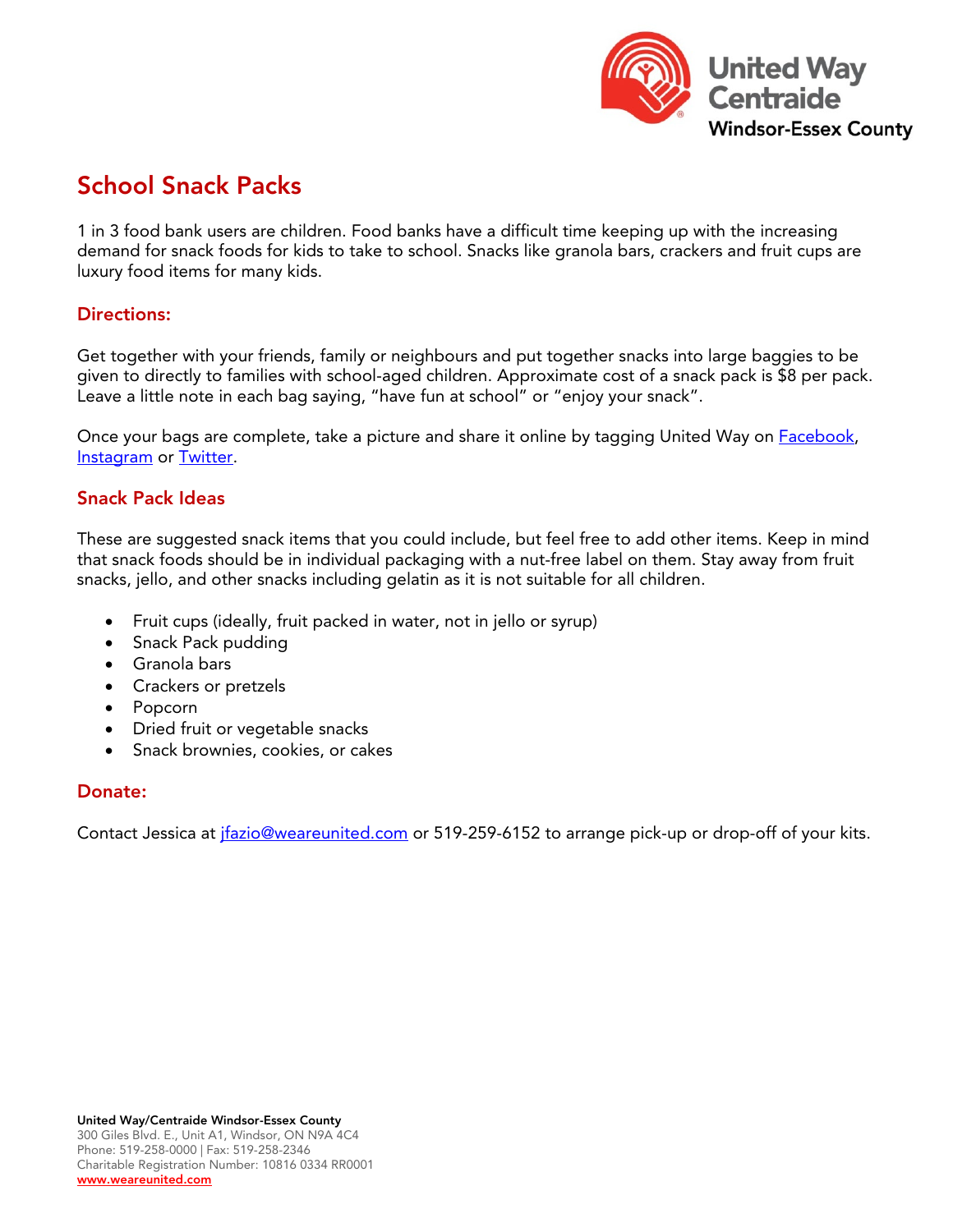

# School Snack Packs

1 in 3 food bank users are children. Food banks have a difficult time keeping up with the increasing demand for snack foods for kids to take to school. Snacks like granola bars, crackers and fruit cups are luxury food items for many kids.

### Directions:

Get together with your friends, family or neighbours and put together snacks into large baggies to be given to directly to families with school-aged children. Approximate cost of a snack pack is \$8 per pack. Leave a little note in each bag saying, "have fun at school" or "enjoy your snack".

Once your bags are complete, take a picture and share it online by tagging United Way on **Facebook**, [Instagram](https://www.instagram.com/unitedwaywe/?hl=en) or [Twitter.](https://twitter.com/UnitedWayWE)

## Snack Pack Ideas

These are suggested snack items that you could include, but feel free to add other items. Keep in mind that snack foods should be in individual packaging with a nut-free label on them. Stay away from fruit snacks, jello, and other snacks including gelatin as it is not suitable for all children.

- Fruit cups (ideally, fruit packed in water, not in jello or syrup)
- Snack Pack pudding
- Granola bars
- Crackers or pretzels
- Popcorn
- Dried fruit or vegetable snacks
- Snack brownies, cookies, or cakes

# Donate:

Contact Jessica at *ifazio@weareunited.com* or 519-259-6152 to arrange pick-up or drop-off of your kits.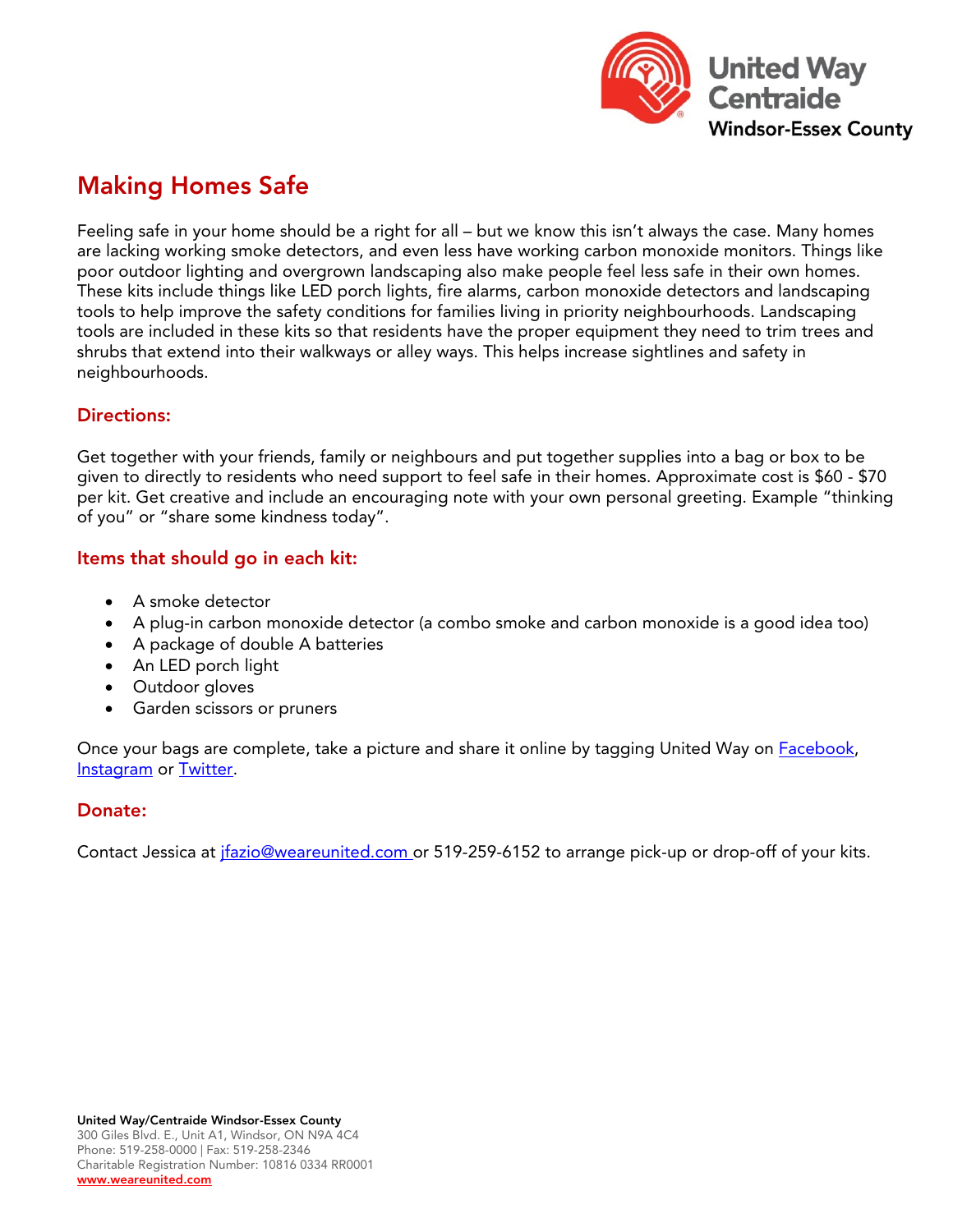

# Making Homes Safe

Feeling safe in your home should be a right for all – but we know this isn't always the case. Many homes are lacking working smoke detectors, and even less have working carbon monoxide monitors. Things like poor outdoor lighting and overgrown landscaping also make people feel less safe in their own homes. These kits include things like LED porch lights, fire alarms, carbon monoxide detectors and landscaping tools to help improve the safety conditions for families living in priority neighbourhoods. Landscaping tools are included in these kits so that residents have the proper equipment they need to trim trees and shrubs that extend into their walkways or alley ways. This helps increase sightlines and safety in neighbourhoods.

# Directions:

Get together with your friends, family or neighbours and put together supplies into a bag or box to be given to directly to residents who need support to feel safe in their homes. Approximate cost is \$60 - \$70 per kit. Get creative and include an encouraging note with your own personal greeting. Example "thinking of you" or "share some kindness today".

# Items that should go in each kit:

- A smoke detector
- A plug-in carbon monoxide detector (a combo smoke and carbon monoxide is a good idea too)
- A package of double A batteries
- An LED porch light
- Outdoor gloves
- Garden scissors or pruners

Once your bags are complete, take a picture and share it online by tagging United Way on **Facebook**, [Instagram](https://www.instagram.com/unitedwaywe/?hl=en) or [Twitter.](https://twitter.com/UnitedWayWE)

### Donate:

Contact Jessica at *ifazio@weareunited.com or* 519-259-6152 to arrange pick-up or drop-off of your kits.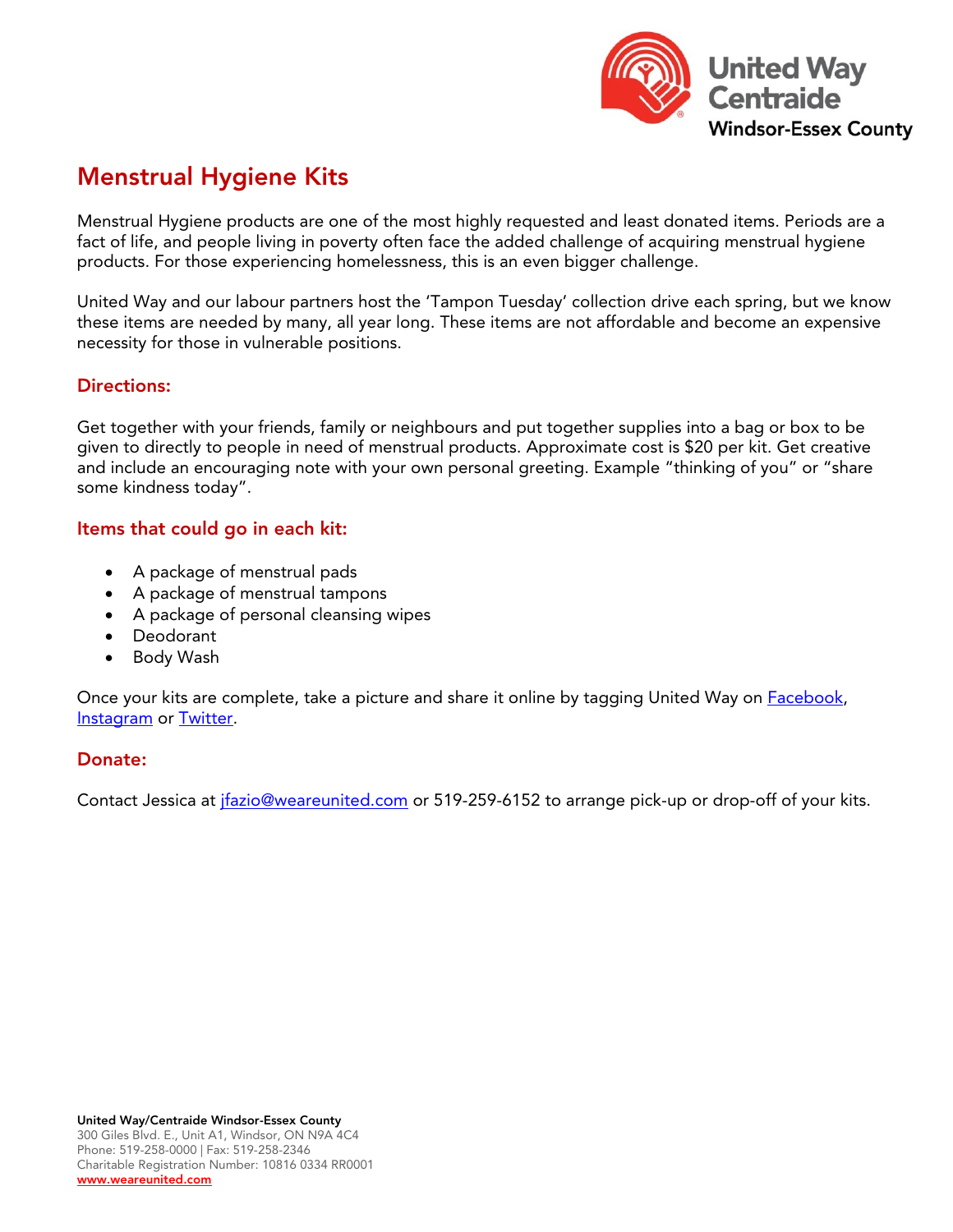

# Menstrual Hygiene Kits

Menstrual Hygiene products are one of the most highly requested and least donated items. Periods are a fact of life, and people living in poverty often face the added challenge of acquiring menstrual hygiene products. For those experiencing homelessness, this is an even bigger challenge.

United Way and our labour partners host the 'Tampon Tuesday' collection drive each spring, but we know these items are needed by many, all year long. These items are not affordable and become an expensive necessity for those in vulnerable positions.

# Directions:

Get together with your friends, family or neighbours and put together supplies into a bag or box to be given to directly to people in need of menstrual products. Approximate cost is \$20 per kit. Get creative and include an encouraging note with your own personal greeting. Example "thinking of you" or "share some kindness today".

## Items that could go in each kit:

- A package of menstrual pads
- A package of menstrual tampons
- A package of personal cleansing wipes
- Deodorant
- Body Wash

Once your kits are complete, take a picture and share it online by tagging United Way on **Facebook**, [Instagram](https://www.instagram.com/unitedwaywe/?hl=en) or [Twitter.](https://twitter.com/UnitedWayWE)

### Donate:

Contact Jessica at *jfazio@weareunited.com* or 519-259-6152 to arrange pick-up or drop-off of your kits.